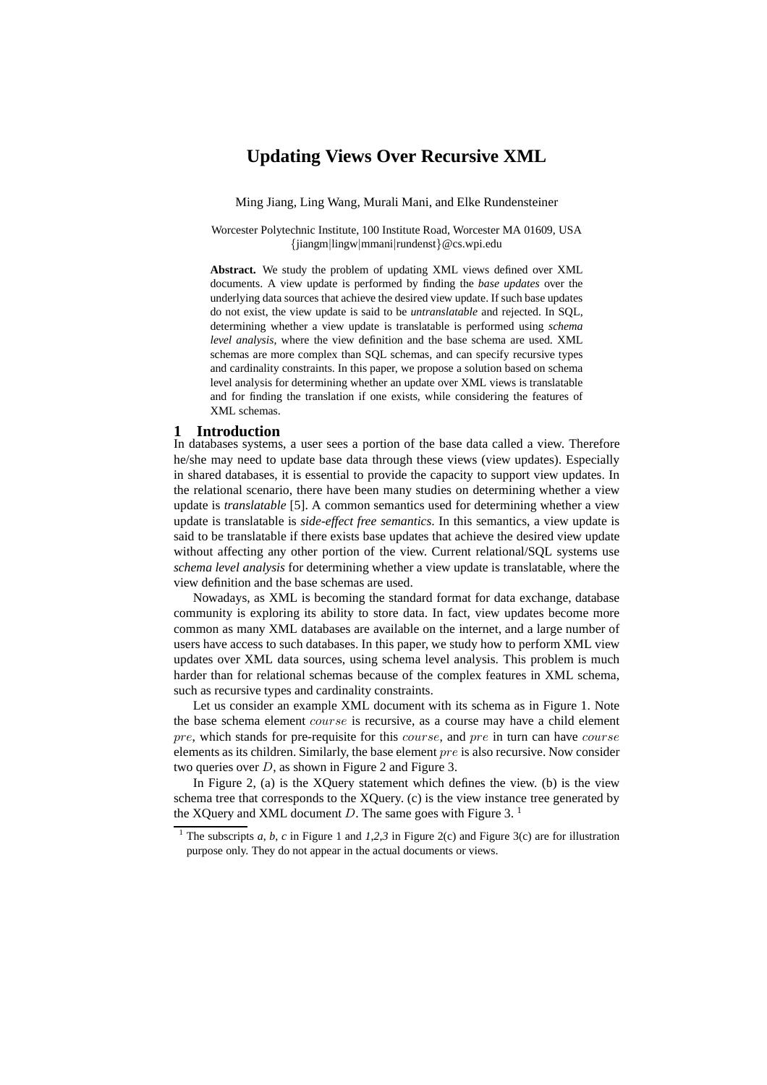# **Updating Views Over Recursive XML**

Ming Jiang, Ling Wang, Murali Mani, and Elke Rundensteiner

Worcester Polytechnic Institute, 100 Institute Road, Worcester MA 01609, USA {jiangm|lingw|mmani|rundenst}@cs.wpi.edu

**Abstract.** We study the problem of updating XML views defined over XML documents. A view update is performed by finding the *base updates* over the underlying data sources that achieve the desired view update. If such base updates do not exist, the view update is said to be *untranslatable* and rejected. In SQL, determining whether a view update is translatable is performed using *schema level analysis*, where the view definition and the base schema are used. XML schemas are more complex than SQL schemas, and can specify recursive types and cardinality constraints. In this paper, we propose a solution based on schema level analysis for determining whether an update over XML views is translatable and for finding the translation if one exists, while considering the features of XML schemas.

#### **1 Introduction**

In databases systems, a user sees a portion of the base data called a view. Therefore he/she may need to update base data through these views (view updates). Especially in shared databases, it is essential to provide the capacity to support view updates. In the relational scenario, there have been many studies on determining whether a view update is *translatable* [5]. A common semantics used for determining whether a view update is translatable is *side-effect free semantics*. In this semantics, a view update is said to be translatable if there exists base updates that achieve the desired view update without affecting any other portion of the view. Current relational/SQL systems use *schema level analysis* for determining whether a view update is translatable, where the view definition and the base schemas are used.

Nowadays, as XML is becoming the standard format for data exchange, database community is exploring its ability to store data. In fact, view updates become more common as many XML databases are available on the internet, and a large number of users have access to such databases. In this paper, we study how to perform XML view updates over XML data sources, using schema level analysis. This problem is much harder than for relational schemas because of the complex features in XML schema, such as recursive types and cardinality constraints.

Let us consider an example XML document with its schema as in Figure 1. Note the base schema element *course* is recursive, as a course may have a child element pre, which stands for pre-requisite for this course, and pre in turn can have course elements as its children. Similarly, the base element pre is also recursive. Now consider two queries over  $D$ , as shown in Figure 2 and Figure 3.

In Figure 2, (a) is the XQuery statement which defines the view. (b) is the view schema tree that corresponds to the XQuery. (c) is the view instance tree generated by the XQuery and XML document D. The same goes with Figure 3.<sup>1</sup>

<sup>1</sup> The subscripts *a*, *b*, *c* in Figure 1 and *1*,*2*,*3* in Figure 2(c) and Figure 3(c) are for illustration purpose only. They do not appear in the actual documents or views.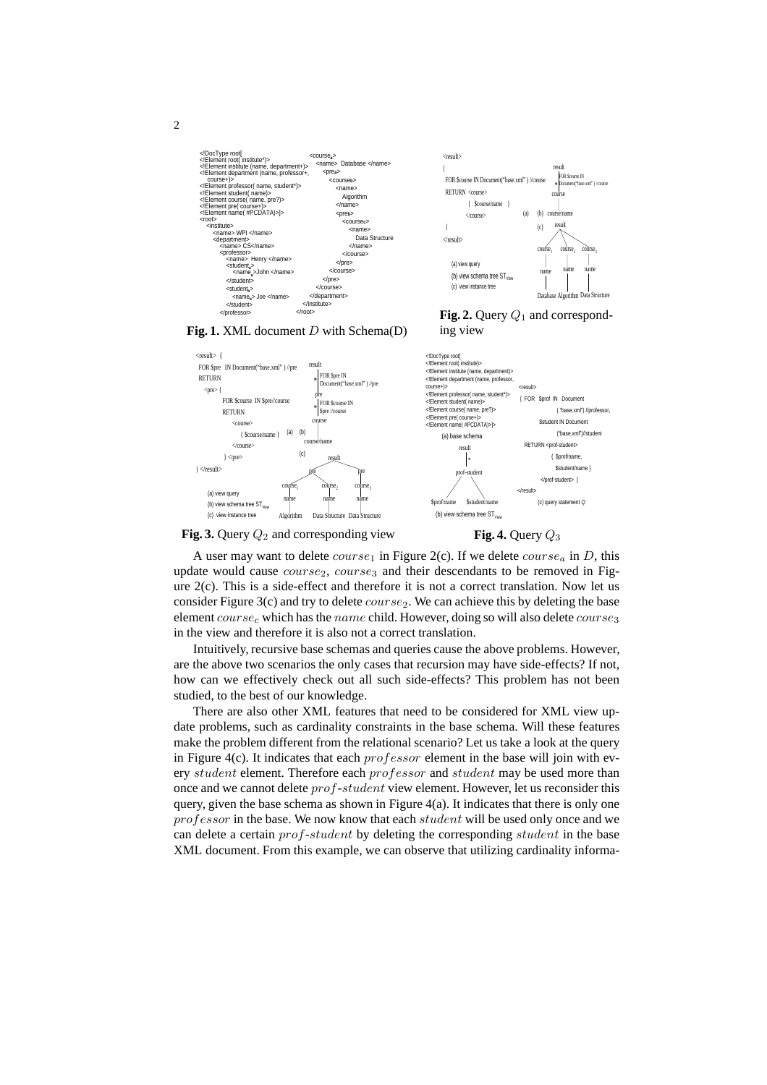



**Fig. 2.** Query  $Q_1$  and correspond-

#### Fig. 1. XML document D with Schema(D) ing view



**Fig. 3.** Query  $Q_2$  and corresponding view



A user may want to delete  $course_1$  in Figure 2(c). If we delete  $course_a$  in D, this update would cause  $course_2$ ,  $course_3$  and their descendants to be removed in Figure 2(c). This is a side-effect and therefore it is not a correct translation. Now let us consider Figure 3(c) and try to delete  $course_2$ . We can achieve this by deleting the base element  $course_c$  which has the name child. However, doing so will also delete  $course_3$ in the view and therefore it is also not a correct translation.

Intuitively, recursive base schemas and queries cause the above problems. However, are the above two scenarios the only cases that recursion may have side-effects? If not, how can we effectively check out all such side-effects? This problem has not been studied, to the best of our knowledge.

There are also other XML features that need to be considered for XML view update problems, such as cardinality constraints in the base schema. Will these features make the problem different from the relational scenario? Let us take a look at the query in Figure 4(c). It indicates that each  $professor$  element in the base will join with every student element. Therefore each professor and student may be used more than once and we cannot delete prof-student view element. However, let us reconsider this query, given the base schema as shown in Figure 4(a). It indicates that there is only one professor in the base. We now know that each student will be used only once and we can delete a certain prof-student by deleting the corresponding student in the base XML document. From this example, we can observe that utilizing cardinality informa-

2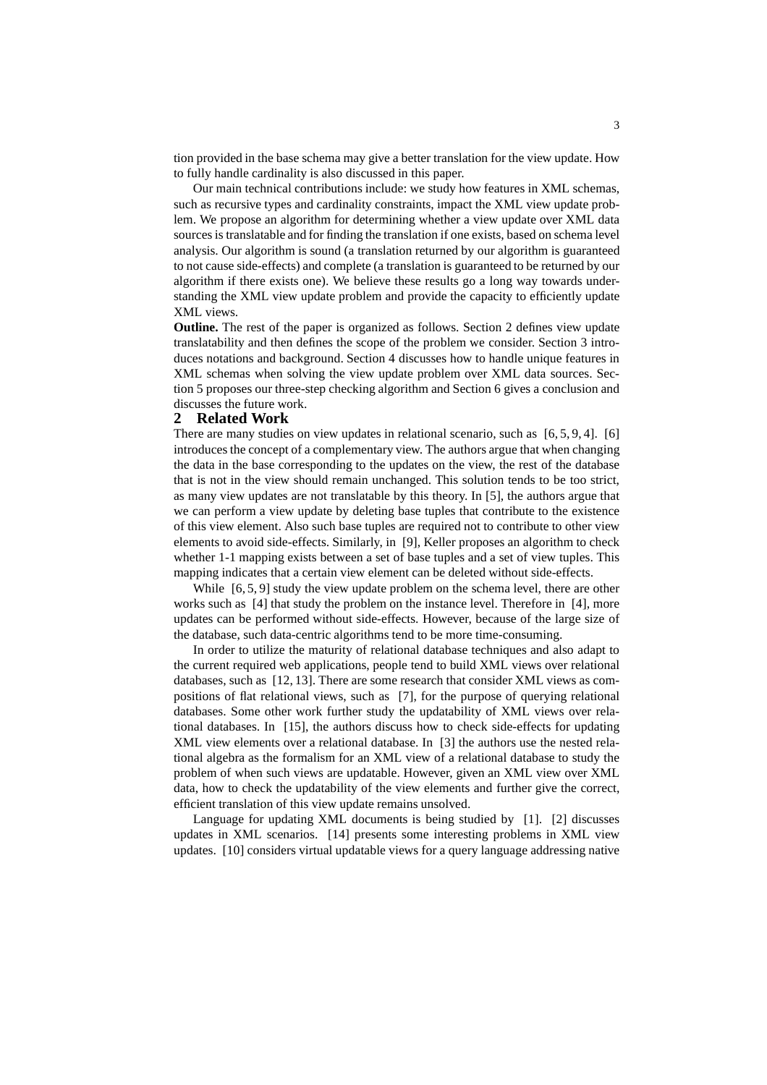tion provided in the base schema may give a better translation for the view update. How to fully handle cardinality is also discussed in this paper.

Our main technical contributions include: we study how features in XML schemas, such as recursive types and cardinality constraints, impact the XML view update problem. We propose an algorithm for determining whether a view update over XML data sources is translatable and for finding the translation if one exists, based on schema level analysis. Our algorithm is sound (a translation returned by our algorithm is guaranteed to not cause side-effects) and complete (a translation is guaranteed to be returned by our algorithm if there exists one). We believe these results go a long way towards understanding the XML view update problem and provide the capacity to efficiently update XML views.

**Outline.** The rest of the paper is organized as follows. Section 2 defines view update translatability and then defines the scope of the problem we consider. Section 3 introduces notations and background. Section 4 discusses how to handle unique features in XML schemas when solving the view update problem over XML data sources. Section 5 proposes our three-step checking algorithm and Section 6 gives a conclusion and discusses the future work.

#### **2 Related Work**

There are many studies on view updates in relational scenario, such as  $[6, 5, 9, 4]$ .  $[6]$ introduces the concept of a complementary view. The authors argue that when changing the data in the base corresponding to the updates on the view, the rest of the database that is not in the view should remain unchanged. This solution tends to be too strict, as many view updates are not translatable by this theory. In [5], the authors argue that we can perform a view update by deleting base tuples that contribute to the existence of this view element. Also such base tuples are required not to contribute to other view elements to avoid side-effects. Similarly, in [9], Keller proposes an algorithm to check whether 1-1 mapping exists between a set of base tuples and a set of view tuples. This mapping indicates that a certain view element can be deleted without side-effects.

While  $[6, 5, 9]$  study the view update problem on the schema level, there are other works such as [4] that study the problem on the instance level. Therefore in [4], more updates can be performed without side-effects. However, because of the large size of the database, such data-centric algorithms tend to be more time-consuming.

In order to utilize the maturity of relational database techniques and also adapt to the current required web applications, people tend to build XML views over relational databases, such as [12, 13]. There are some research that consider XML views as compositions of flat relational views, such as [7], for the purpose of querying relational databases. Some other work further study the updatability of XML views over relational databases. In [15], the authors discuss how to check side-effects for updating XML view elements over a relational database. In [3] the authors use the nested relational algebra as the formalism for an XML view of a relational database to study the problem of when such views are updatable. However, given an XML view over XML data, how to check the updatability of the view elements and further give the correct, efficient translation of this view update remains unsolved.

Language for updating XML documents is being studied by [1]. [2] discusses updates in XML scenarios. [14] presents some interesting problems in XML view updates. [10] considers virtual updatable views for a query language addressing native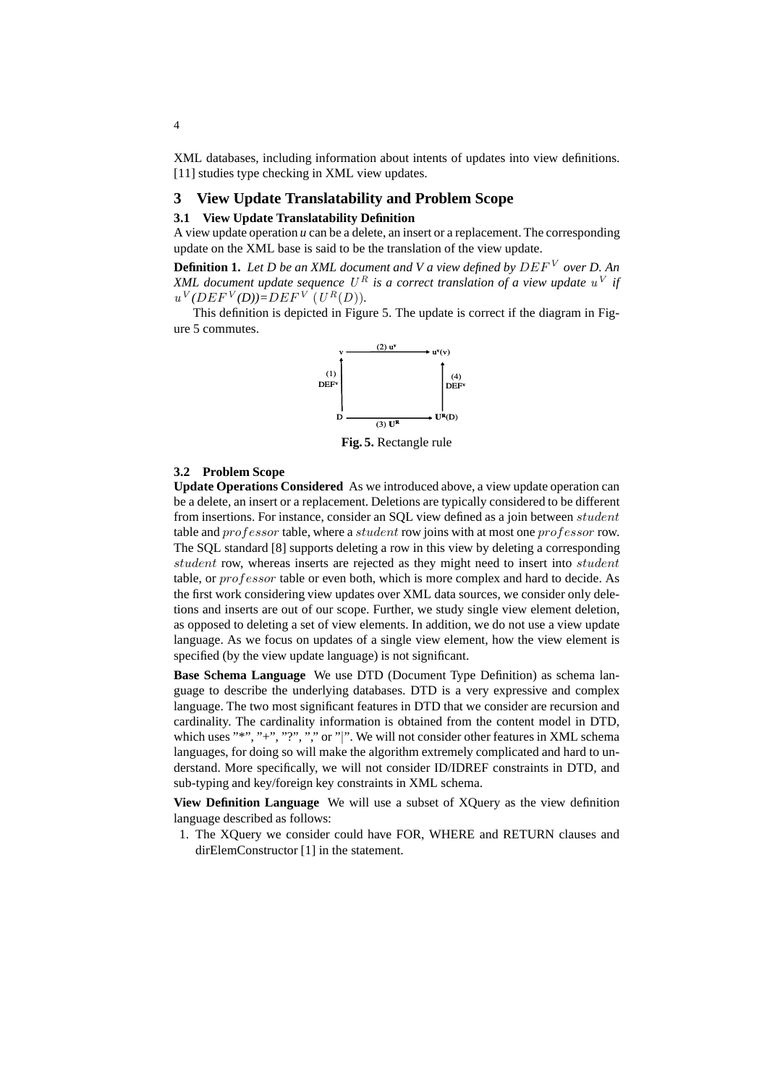XML databases, including information about intents of updates into view definitions. [11] studies type checking in XML view updates.

#### **3 View Update Translatability and Problem Scope**

### **3.1 View Update Translatability Definition**

A view update operation *u* can be a delete, an insert or a replacement. The corresponding update on the XML base is said to be the translation of the view update.

**Definition 1.** *Let D be an XML document and V a view defined by* DEF <sup>V</sup> *over D. An XML document update sequence*  $U^R$  *is a correct translation of a view update*  $u^V$  *if*  $u^V (DEF^V(D)) = DEF^V (U^R(D)).$ 

This definition is depicted in Figure 5. The update is correct if the diagram in Figure 5 commutes.



**Fig. 5.** Rectangle rule

#### **3.2 Problem Scope**

**Update Operations Considered** As we introduced above, a view update operation can be a delete, an insert or a replacement. Deletions are typically considered to be different from insertions. For instance, consider an SOL view defined as a join between *student* table and professor table, where a student row joins with at most one professor row. The SQL standard [8] supports deleting a row in this view by deleting a corresponding student row, whereas inserts are rejected as they might need to insert into *student* table, or *professor* table or even both, which is more complex and hard to decide. As the first work considering view updates over XML data sources, we consider only deletions and inserts are out of our scope. Further, we study single view element deletion, as opposed to deleting a set of view elements. In addition, we do not use a view update language. As we focus on updates of a single view element, how the view element is specified (by the view update language) is not significant.

**Base Schema Language** We use DTD (Document Type Definition) as schema language to describe the underlying databases. DTD is a very expressive and complex language. The two most significant features in DTD that we consider are recursion and cardinality. The cardinality information is obtained from the content model in DTD, which uses "\*", "+", "?", "," or "|". We will not consider other features in XML schema languages, for doing so will make the algorithm extremely complicated and hard to understand. More specifically, we will not consider ID/IDREF constraints in DTD, and sub-typing and key/foreign key constraints in XML schema.

**View Definition Language** We will use a subset of XQuery as the view definition language described as follows:

1. The XQuery we consider could have FOR, WHERE and RETURN clauses and dirElemConstructor [1] in the statement.

4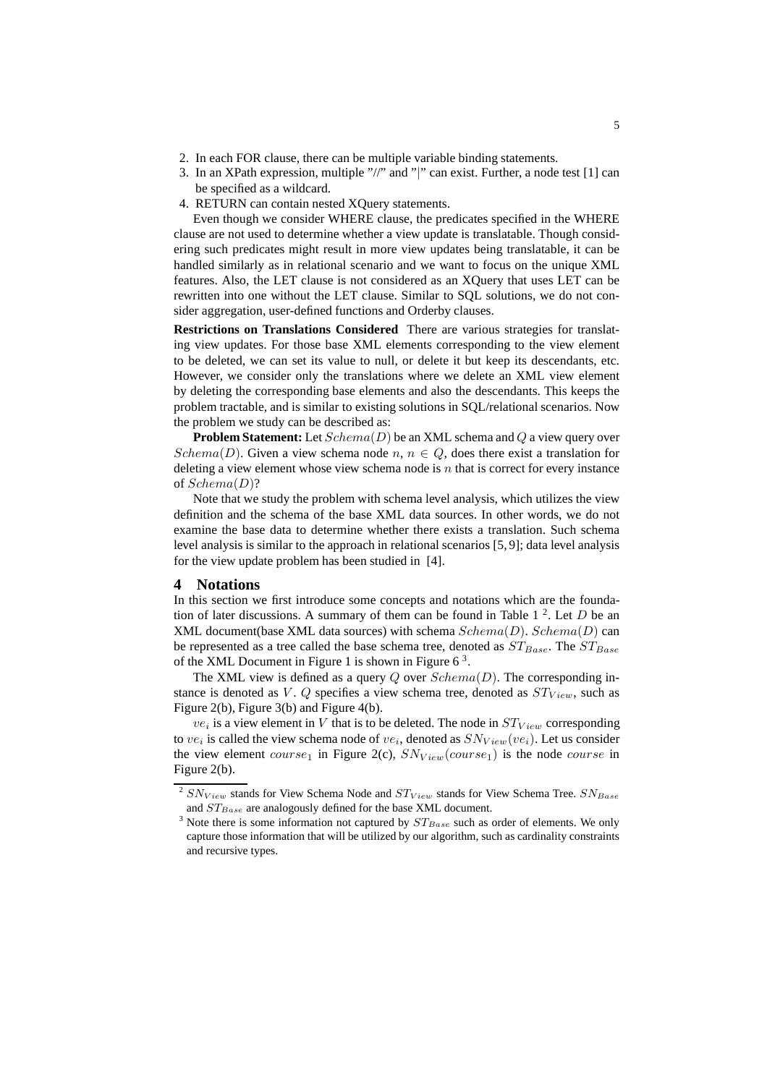- 2. In each FOR clause, there can be multiple variable binding statements.
- 3. In an XPath expression, multiple "//" and "|" can exist. Further, a node test [1] can be specified as a wildcard.
- 4. RETURN can contain nested XQuery statements.

Even though we consider WHERE clause, the predicates specified in the WHERE clause are not used to determine whether a view update is translatable. Though considering such predicates might result in more view updates being translatable, it can be handled similarly as in relational scenario and we want to focus on the unique XML features. Also, the LET clause is not considered as an XQuery that uses LET can be rewritten into one without the LET clause. Similar to SQL solutions, we do not consider aggregation, user-defined functions and Orderby clauses.

**Restrictions on Translations Considered** There are various strategies for translating view updates. For those base XML elements corresponding to the view element to be deleted, we can set its value to null, or delete it but keep its descendants, etc. However, we consider only the translations where we delete an XML view element by deleting the corresponding base elements and also the descendants. This keeps the problem tractable, and is similar to existing solutions in SQL/relational scenarios. Now the problem we study can be described as:

**Problem Statement:** Let  $Schema(D)$  be an XML schema and Q a view query over Schema(D). Given a view schema node n,  $n \in Q$ , does there exist a translation for deleting a view element whose view schema node is  $n$  that is correct for every instance of Schema(D)?

Note that we study the problem with schema level analysis, which utilizes the view definition and the schema of the base XML data sources. In other words, we do not examine the base data to determine whether there exists a translation. Such schema level analysis is similar to the approach in relational scenarios [5, 9]; data level analysis for the view update problem has been studied in [4].

#### **4 Notations**

In this section we first introduce some concepts and notations which are the foundation of later discussions. A summary of them can be found in Table  $1<sup>2</sup>$ . Let D be an XML document(base XML data sources) with schema  $Schema(D)$ .  $Schema(D)$  can be represented as a tree called the base schema tree, denoted as  $ST_{Base}$ . The  $ST_{Base}$ of the XML Document in Figure 1 is shown in Figure  $6<sup>3</sup>$ .

The XML view is defined as a query  $Q$  over  $Schema(D)$ . The corresponding instance is denoted as V.  $Q$  specifies a view schema tree, denoted as  $ST_{View}$ , such as Figure 2(b), Figure 3(b) and Figure 4(b).

 $ve_i$  is a view element in V that is to be deleted. The node in  $ST_{View}$  corresponding to  $ve_i$  is called the view schema node of  $ve_i$ , denoted as  $SN_{View}(ve_i)$ . Let us consider the view element course<sub>1</sub> in Figure 2(c),  $SN_{View}(course_1)$  is the node course in Figure 2(b).

<sup>&</sup>lt;sup>2</sup>  $SN_{View}$  stands for View Schema Node and  $ST_{View}$  stands for View Schema Tree.  $SN_{Base}$ and  $ST_{Base}$  are analogously defined for the base XML document.

<sup>&</sup>lt;sup>3</sup> Note there is some information not captured by  $ST_{Base}$  such as order of elements. We only capture those information that will be utilized by our algorithm, such as cardinality constraints and recursive types.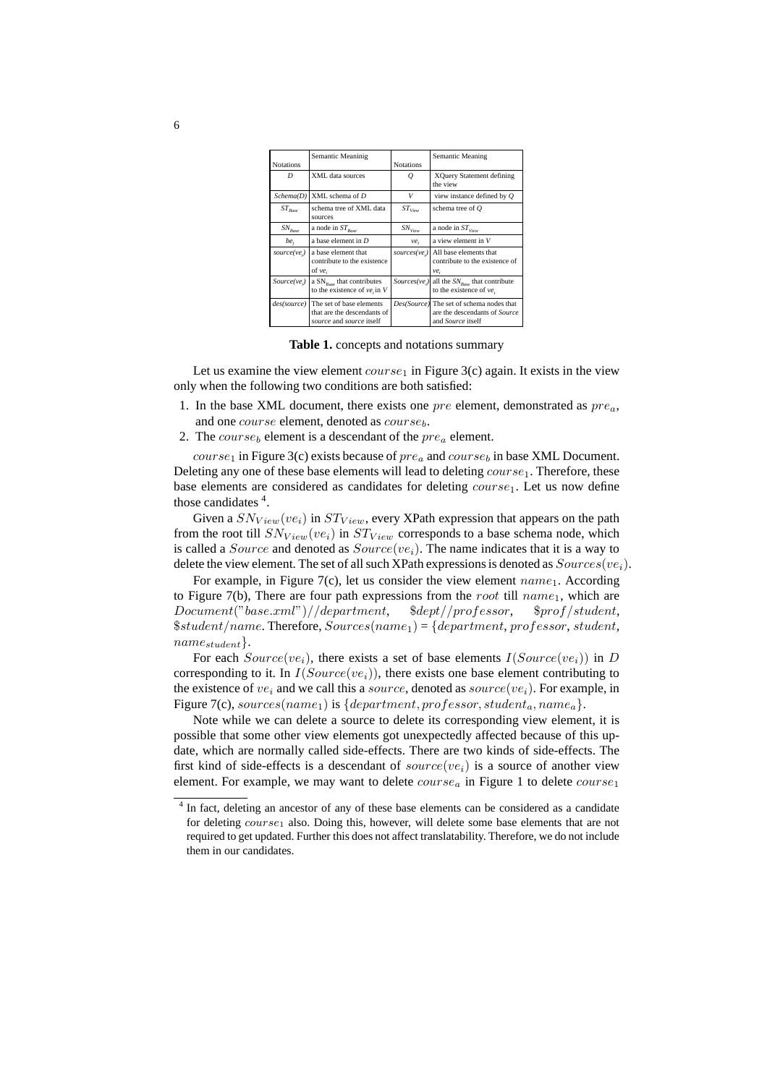|                  | Semantic Meaninig                                                                                 |                  | Semantic Meaning                                                                                      |
|------------------|---------------------------------------------------------------------------------------------------|------------------|-------------------------------------------------------------------------------------------------------|
| <b>Notations</b> |                                                                                                   | <b>Notations</b> |                                                                                                       |
| D                | XML data sources                                                                                  | Q                | XQuery Statement defining<br>the view                                                                 |
| Schema(D)        | XML schema of $D$                                                                                 | V                | view instance defined by $O$                                                                          |
| $ST_{Base}$      | schema tree of XML data<br>sources                                                                | $ST_{View}$      | schema tree of $O$                                                                                    |
| $SN_{Base}$      | a node in $ST_{Rose}$                                                                             | $SN_{View}$      | a node in $ST_{Vow}$                                                                                  |
| $be_i$           | a base element in $D$                                                                             | $ve_i$           | a view element in V                                                                                   |
| $source(ve_i)$   | a base element that<br>contribute to the existence<br>of $ve_i$                                   |                  | sources( $ve_i$ )   All base elements that<br>contribute to the existence of<br>ve,                   |
|                  | Source(ve <sub>i</sub> ) a $SN_{Bose}$ that contributes<br>to the existence of $ve_i$ in V        |                  | Sources(ve <sub>i</sub> ) all the $SN_{Bose}$ that contribute<br>to the existence of $ve_i$           |
|                  | des(source)   The set of base elements<br>that are the descendants of<br>source and source itself |                  | Des(Source) The set of schema nodes that<br>are the descendants of Source<br>and <i>Source</i> itself |

**Table 1.** concepts and notations summary

Let us examine the view element  $course_1$  in Figure 3(c) again. It exists in the view only when the following two conditions are both satisfied:

- 1. In the base XML document, there exists one *pre* element, demonstrated as  $pre_a$ . and one course element, denoted as course<sub>b</sub>.
- 2. The course<sub>b</sub> element is a descendant of the  $pre_a$  element.

*course*<sub>1</sub> in Figure 3(c) exists because of  $pre_a$  and  $course_b$  in base XML Document. Deleting any one of these base elements will lead to deleting  $course_1$ . Therefore, these base elements are considered as candidates for deleting  $course_1$ . Let us now define those candidates  $4$ .

Given a  $SN_{View}(ve_i)$  in  $ST_{View}$ , every XPath expression that appears on the path from the root till  $SN_{View}(ve_i)$  in  $ST_{View}$  corresponds to a base schema node, which is called a *Source* and denoted as  $Source(ve_i)$ . The name indicates that it is a way to delete the view element. The set of all such XPath expressions is denoted as  $Sources(ve_i)$ .

For example, in Figure 7(c), let us consider the view element  $name_1$ . According to Figure 7(b), There are four path expressions from the root till  $name_1$ , which are Document("base.xml")//department, \$dept//professor, \$prof/student,  $$student/name$ . Therefore,  $Sources(name_1) = \{department, professor, student,$  $name_{student}$ .

For each  $Source(ve_i)$ , there exists a set of base elements  $I(Source(ve_i))$  in D corresponding to it. In  $I(Sourceive_i))$ , there exists one base element contributing to the existence of  $ve_i$  and we call this a source, denoted as source( $ve_i$ ). For example, in Figure 7(c), sources(name<sub>1</sub>) is {department, professor, student<sub>a</sub>, name<sub>a</sub>}.

Note while we can delete a source to delete its corresponding view element, it is possible that some other view elements got unexpectedly affected because of this update, which are normally called side-effects. There are two kinds of side-effects. The first kind of side-effects is a descendant of  $source(ve_i)$  is a source of another view element. For example, we may want to delete  $course<sub>a</sub>$  in Figure 1 to delete  $course<sub>1</sub>$ 

<sup>&</sup>lt;sup>4</sup> In fact, deleting an ancestor of any of these base elements can be considered as a candidate for deleting  $course_1$  also. Doing this, however, will delete some base elements that are not required to get updated. Further this does not affect translatability. Therefore, we do not include them in our candidates.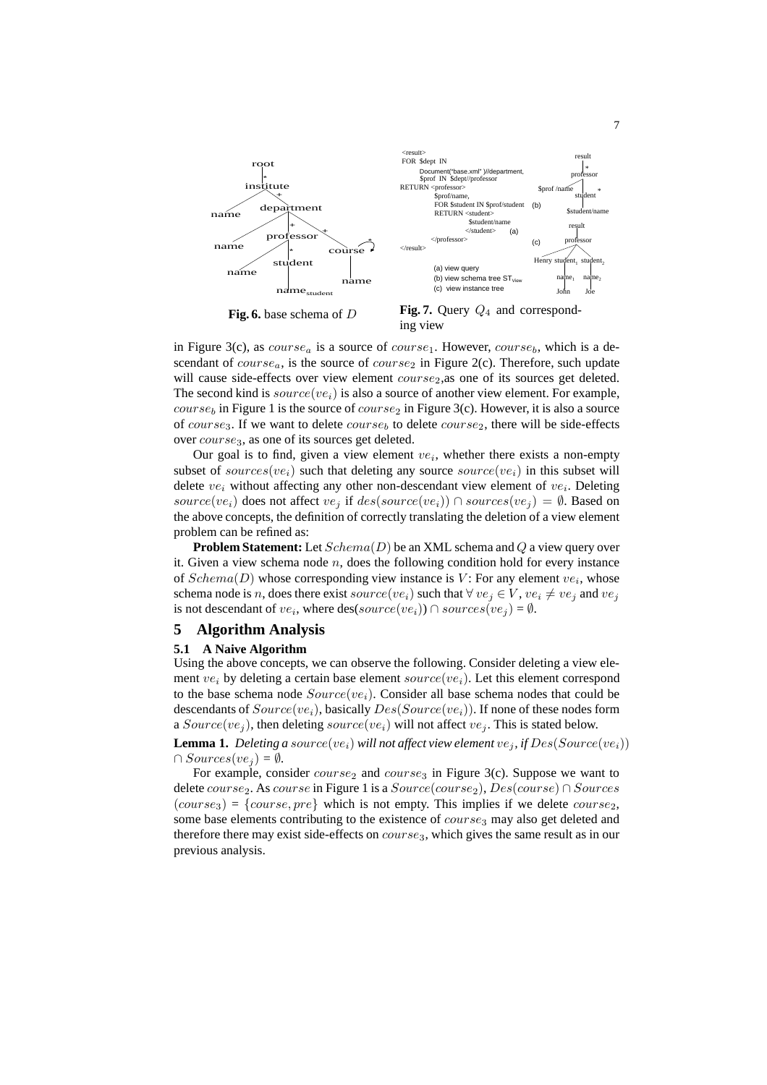

**Fig. 6.** base schema of D



in Figure 3(c), as  $course_a$  is a source of  $course_1$ . However,  $course_b$ , which is a descendant of course<sub>a</sub>, is the source of course<sub>2</sub> in Figure 2(c). Therefore, such update will cause side-effects over view element  $course<sub>2</sub>$ , as one of its sources get deleted. The second kind is  $source(ve_i)$  is also a source of another view element. For example,  $course<sub>b</sub>$  in Figure 1 is the source of  $course<sub>2</sub>$  in Figure 3(c). However, it is also a source of course<sub>3</sub>. If we want to delete course<sub>b</sub> to delete course<sub>2</sub>, there will be side-effects over *course*<sub>3</sub>, as one of its sources get deleted.

Our goal is to find, given a view element  $ve_i$ , whether there exists a non-empty subset of sources(ve<sub>i</sub>) such that deleting any source source(ve<sub>i</sub>) in this subset will delete  $ve_i$  without affecting any other non-descendant view element of  $ve_i$ . Deleting source(ve<sub>i</sub>) does not affect ve<sub>i</sub> if  $des(sourceive_i) \cap sources(ve_i) = \emptyset$ . Based on the above concepts, the definition of correctly translating the deletion of a view element problem can be refined as:

**Problem Statement:** Let  $Schema(D)$  be an XML schema and Q a view query over it. Given a view schema node  $n$ , does the following condition hold for every instance of  $Schema(D)$  whose corresponding view instance is V: For any element  $ve_i$ , whose schema node is n, does there exist source(ve<sub>i</sub>) such that  $\forall$  ve<sub>j</sub>  $\in V$ , ve<sub>i</sub>  $\neq$  ve<sub>j</sub> and ve<sub>j</sub> is not descendant of  $ve_i$ , where des(source(ve<sub>i</sub>))  $\cap$  sources(ve<sub>j</sub>) =  $\emptyset$ .

#### **5 Algorithm Analysis**

#### **5.1 A Naive Algorithm**

Using the above concepts, we can observe the following. Consider deleting a view element  $ve_i$  by deleting a certain base element source(ve<sub>i</sub>). Let this element correspond to the base schema node  $Source(ve_i)$ . Consider all base schema nodes that could be descendants of  $Source(ve_i)$ , basically  $Des(Source(ve_i))$ . If none of these nodes form a  $Source(ve_j)$ , then deleting  $source(ve_i)$  will not affect  $ve_j$ . This is stated below.

**Lemma 1.** Deleting a source(ve<sub>i</sub>) will not affect view element ve<sub>i</sub>, if  $Des(Source(ve_i))$  $\cap$  *Sources*(*ve*<sub>i</sub>) =  $\emptyset$ *.* 

For example, consider  $course_2$  and  $course_3$  in Figure 3(c). Suppose we want to delete course<sub>2</sub>. As course in Figure 1 is a  $Source(course_2)$ ,  $Des(course) \cap Sources$  $(course_3) = {course, pre}$  which is not empty. This implies if we delete  $course_2$ , some base elements contributing to the existence of  $course<sub>3</sub>$  may also get deleted and therefore there may exist side-effects on  $course_3$ , which gives the same result as in our previous analysis.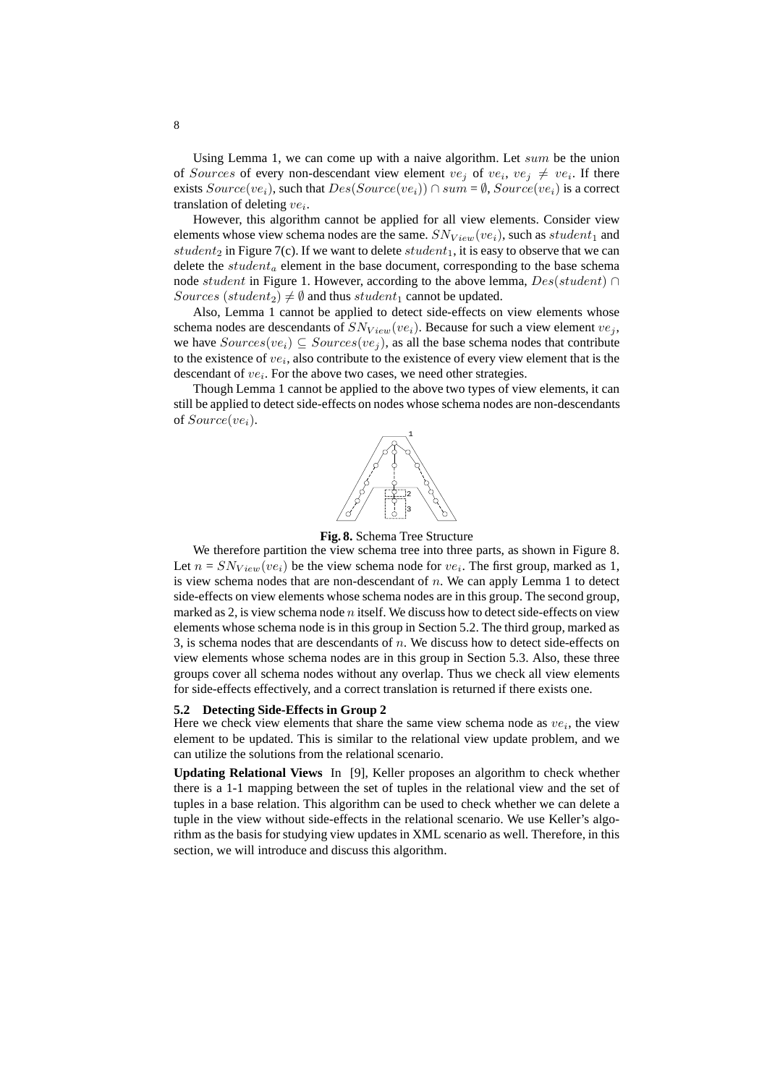Using Lemma 1, we can come up with a naive algorithm. Let  $sum$  be the union of Sources of every non-descendant view element  $ve_j$  of  $ve_i$ ,  $ve_j \neq ve_i$ . If there exists  $Source(ve_i)$ , such that  $Des(Source_i)) \cap sum = \emptyset$ ,  $Source(ve_i)$  is a correct translation of deleting  $ve_i$ .

However, this algorithm cannot be applied for all view elements. Consider view elements whose view schema nodes are the same.  $SN_{View}(ve_i)$ , such as student<sub>1</sub> and student<sub>2</sub> in Figure 7(c). If we want to delete  $student_1$ , it is easy to observe that we can delete the  $student_a$  element in the base document, corresponding to the base schema node student in Figure 1. However, according to the above lemma,  $Des(student) \cap$ Sources (student<sub>2</sub>)  $\neq$  Ø and thus student<sub>1</sub> cannot be updated.

Also, Lemma 1 cannot be applied to detect side-effects on view elements whose schema nodes are descendants of  $SN_{View}(ve_i)$ . Because for such a view element  $ve_j$ , we have  $Sourceive_i) \subseteq Sources(ve_i)$ , as all the base schema nodes that contribute to the existence of  $ve_i$ , also contribute to the existence of every view element that is the descendant of  $ve_i$ . For the above two cases, we need other strategies.

Though Lemma 1 cannot be applied to the above two types of view elements, it can still be applied to detect side-effects on nodes whose schema nodes are non-descendants of  $Source(ve_i)$ .



#### **Fig. 8.** Schema Tree Structure

We therefore partition the view schema tree into three parts, as shown in Figure 8. Let  $n = SN_{View}(ve_i)$  be the view schema node for  $ve_i$ . The first group, marked as 1, is view schema nodes that are non-descendant of  $n$ . We can apply Lemma 1 to detect side-effects on view elements whose schema nodes are in this group. The second group, marked as  $2$ , is view schema node  $n$  itself. We discuss how to detect side-effects on view elements whose schema node is in this group in Section 5.2. The third group, marked as 3, is schema nodes that are descendants of  $n$ . We discuss how to detect side-effects on view elements whose schema nodes are in this group in Section 5.3. Also, these three groups cover all schema nodes without any overlap. Thus we check all view elements for side-effects effectively, and a correct translation is returned if there exists one.

#### **5.2 Detecting Side-Effects in Group 2**

Here we check view elements that share the same view schema node as  $ve_i$ , the view element to be updated. This is similar to the relational view update problem, and we can utilize the solutions from the relational scenario.

**Updating Relational Views** In [9], Keller proposes an algorithm to check whether there is a 1-1 mapping between the set of tuples in the relational view and the set of tuples in a base relation. This algorithm can be used to check whether we can delete a tuple in the view without side-effects in the relational scenario. We use Keller's algorithm as the basis for studying view updates in XML scenario as well. Therefore, in this section, we will introduce and discuss this algorithm.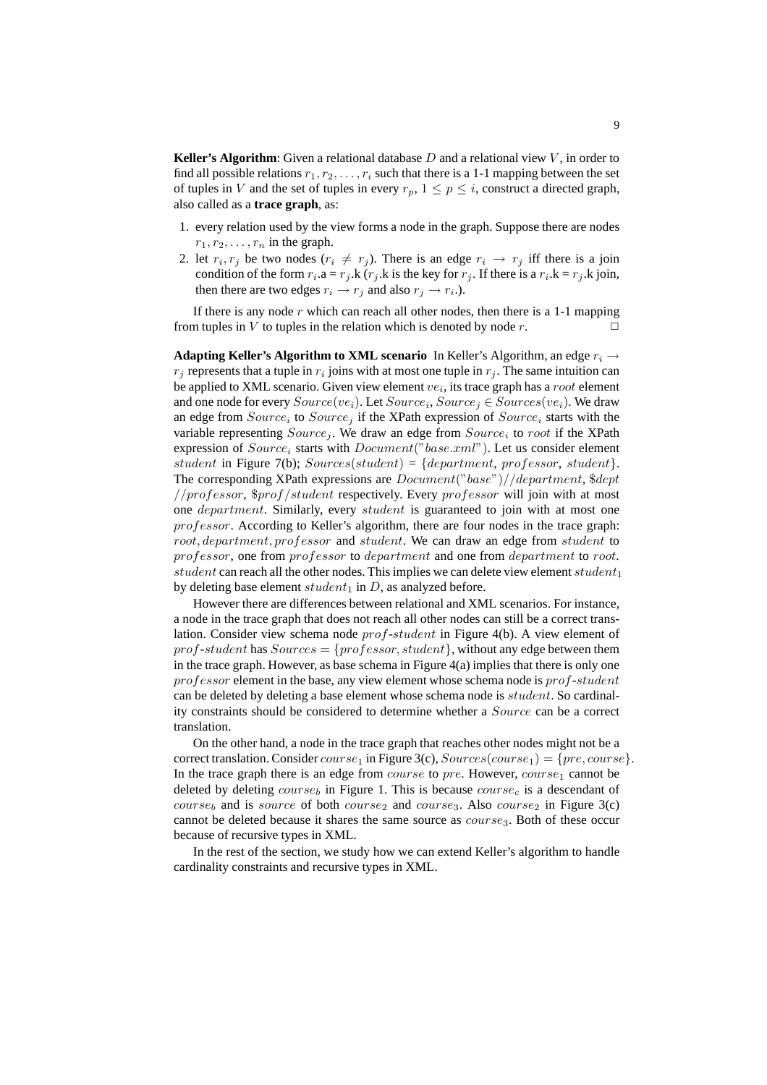**Keller's Algorithm**: Given a relational database  $D$  and a relational view  $V$ , in order to find all possible relations  $r_1, r_2, \ldots, r_i$  such that there is a 1-1 mapping between the set of tuples in V and the set of tuples in every  $r_p$ ,  $1 \le p \le i$ , construct a directed graph, also called as a **trace graph**, as:

- 1. every relation used by the view forms a node in the graph. Suppose there are nodes  $r_1, r_2, \ldots, r_n$  in the graph.
- 2. let  $r_i, r_j$  be two nodes  $(r_i \neq r_j)$ . There is an edge  $r_i \rightarrow r_j$  iff there is a join condition of the form  $r_i.a = r_j.k$  ( $r_j.k$  is the key for  $r_j$ . If there is a  $r_i.k = r_j.k$  join, then there are two edges  $r_i \rightarrow r_j$  and also  $r_j \rightarrow r_i$ .).

If there is any node  $r$  which can reach all other nodes, then there is a 1-1 mapping from tuples in V to tuples in the relation which is denoted by node r.  $\Box$ 

**Adapting Keller's Algorithm to XML scenario** In Keller's Algorithm, an edge  $r_i \rightarrow$  $r_j$  represents that a tuple in  $r_i$  joins with at most one tuple in  $r_j$ . The same intuition can be applied to XML scenario. Given view element  $ve_i$ , its trace graph has a  $root$  element and one node for every  $Source(ve_i)$ . Let  $Source_i$ ,  $Source_j \in Sources(ve_i)$ . We draw an edge from  $Source_i$  to  $Source_j$  if the XPath expression of  $Source_i$  starts with the variable representing  $Source_j$ . We draw an edge from  $Source_i$  to root if the XPath expression of  $Source_i$  starts with  $Document("base.xml")$ . Let us consider element student in Figure 7(b);  $Source(s_t, t) = \{department, professor, student\}.$ The corresponding XPath expressions are Document("base")//department, \$dept //professor,  $\frac{5}{7}$  /student respectively. Every professor will join with at most one *department*. Similarly, every *student* is guaranteed to join with at most one professor. According to Keller's algorithm, there are four nodes in the trace graph: root, department, professor and student. We can draw an edge from student to professor, one from professor to department and one from department to root. student can reach all the other nodes. This implies we can delete view element student<sub>1</sub> by deleting base element  $student_1$  in D, as analyzed before.

However there are differences between relational and XML scenarios. For instance, a node in the trace graph that does not reach all other nodes can still be a correct translation. Consider view schema node prof-student in Figure 4(b). A view element of  $prof-student$  has  $Sources = \{professor, student\}$ , without any edge between them in the trace graph. However, as base schema in Figure  $4(a)$  implies that there is only one professor element in the base, any view element whose schema node is prof-student can be deleted by deleting a base element whose schema node is student. So cardinality constraints should be considered to determine whether a Source can be a correct translation.

On the other hand, a node in the trace graph that reaches other nodes might not be a correct translation. Consider  $course_1$  in Figure 3(c),  $Source(s(course_1) = \{pre, course\}.$ In the trace graph there is an edge from *course* to  $pre$ . However, *course*<sub>1</sub> cannot be deleted by deleting  $course_b$  in Figure 1. This is because  $course_c$  is a descendant of  $course<sub>b</sub>$  and is source of both course<sub>2</sub> and course<sub>3</sub>. Also course<sub>2</sub> in Figure 3(c) cannot be deleted because it shares the same source as  $course<sub>3</sub>$ . Both of these occur because of recursive types in XML.

In the rest of the section, we study how we can extend Keller's algorithm to handle cardinality constraints and recursive types in XML.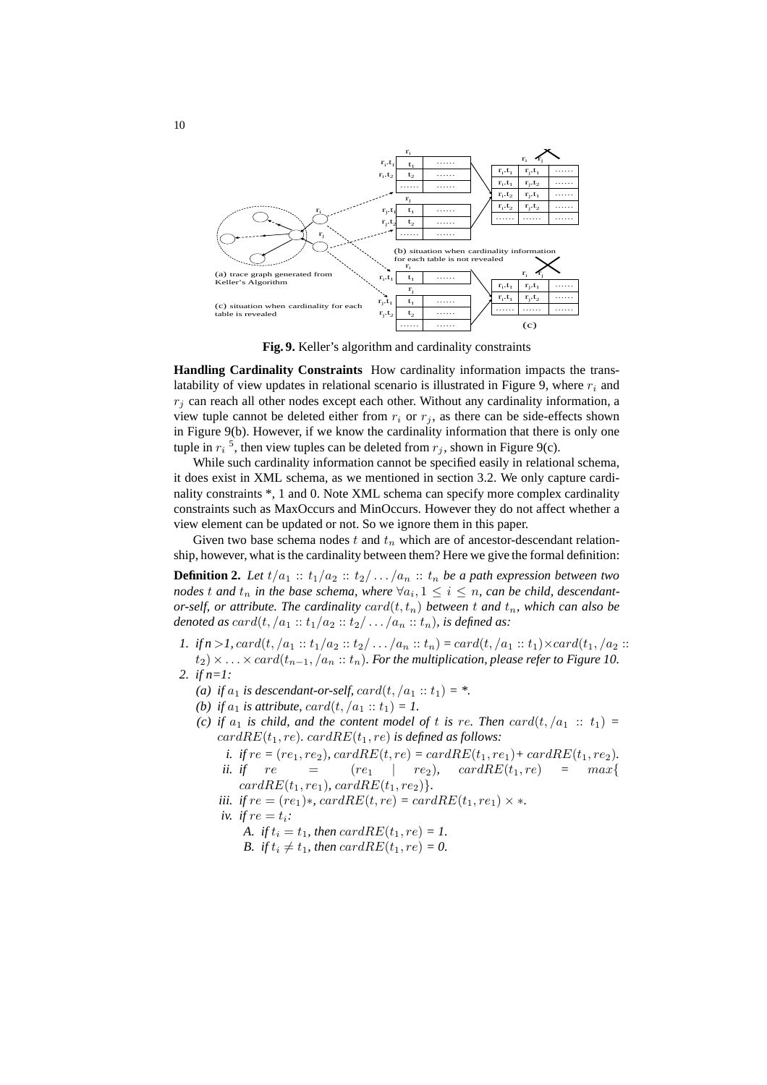

**Fig. 9.** Keller's algorithm and cardinality constraints

**Handling Cardinality Constraints** How cardinality information impacts the translatability of view updates in relational scenario is illustrated in Figure 9, where  $r_i$  and  $r_i$  can reach all other nodes except each other. Without any cardinality information, a view tuple cannot be deleted either from  $r_i$  or  $r_j$ , as there can be side-effects shown in Figure 9(b). However, if we know the cardinality information that there is only one tuple in  $r_i$ <sup>5</sup>, then view tuples can be deleted from  $r_j$ , shown in Figure 9(c).

While such cardinality information cannot be specified easily in relational schema, it does exist in XML schema, as we mentioned in section 3.2. We only capture cardinality constraints \*, 1 and 0. Note XML schema can specify more complex cardinality constraints such as MaxOccurs and MinOccurs. However they do not affect whether a view element can be updated or not. So we ignore them in this paper.

Given two base schema nodes t and  $t_n$  which are of ancestor-descendant relationship, however, what is the cardinality between them? Here we give the formal definition:

**Definition 2.** Let  $t/a_1 :: t_1/a_2 :: t_2/ \ldots/a_n :: t_n$  be a path expression between two nodes t and  $t_n$  in the base schema, where  $\forall a_i, 1 \leq i \leq n$ , can be child, descendant*or-self, or attribute. The cardinality*  $card(t, t_n)$  *between* t and  $t_n$ *, which can also be denoted as*  $card(t, /a_1 :: t_1/a_2 :: t_2/ ... /a_n :: t_n)$ *, is defined as:* 

- *1. if*  $n > 1$ ,  $card(t, /a_1 :: t_1/a_2 :: t_2/ ... /a_n :: t_n) = card(t, /a_1 :: t_1) \times card(t_1, /a_2 :: t_1)$  $(t_1) \times \ldots \times card(t_{n-1}, (a_n::t_n)$ . For the multiplication, please refer to Figure 10.
- *2. if n=1:*
	- *(a) if*  $a_1$  *is descendant-or-self,*  $card(t, /a_1 :: t_1) = *$ .
	- *(b) if*  $a_1$  *is attribute,*  $card(t, /a_1 :: t_1) = 1$ .
	- *(c)* if  $a_1$  *is child, and the content model of t is re. Then card* $(t, a_1 :: t_1) =$  $cardRE(t_1, re)$ *.*  $cardRE(t_1, re)$  *is defined as follows:* 
		- *i. if*  $re = (re_1, re_2)$ ,  $cardRE(t, re) = cardRE(t_1, re_1) + cardRE(t_1, re_2)$ . *ii. if*  $re$  =  $(re_1 | re_2)$ ,  $cardRE(t_1, re)$  =  $max\{$  $cardRE(t_1, re_1)$ *,*  $cardRE(t_1, re_2)$ }.
		- *iii. if*  $re = (re_1) *$ ,  $cardRE(t, re) = cardRE(t_1, re_1) \times *$ .
		- *iv. if*  $re = t_i$ *:* 
			- *A. if*  $t_i = t_1$ *, then cardRE*( $t_1$ *, re)* = *1.*
			- *B.* if  $t_i \neq t_1$ , then card $RE(t_1, re) = 0$ .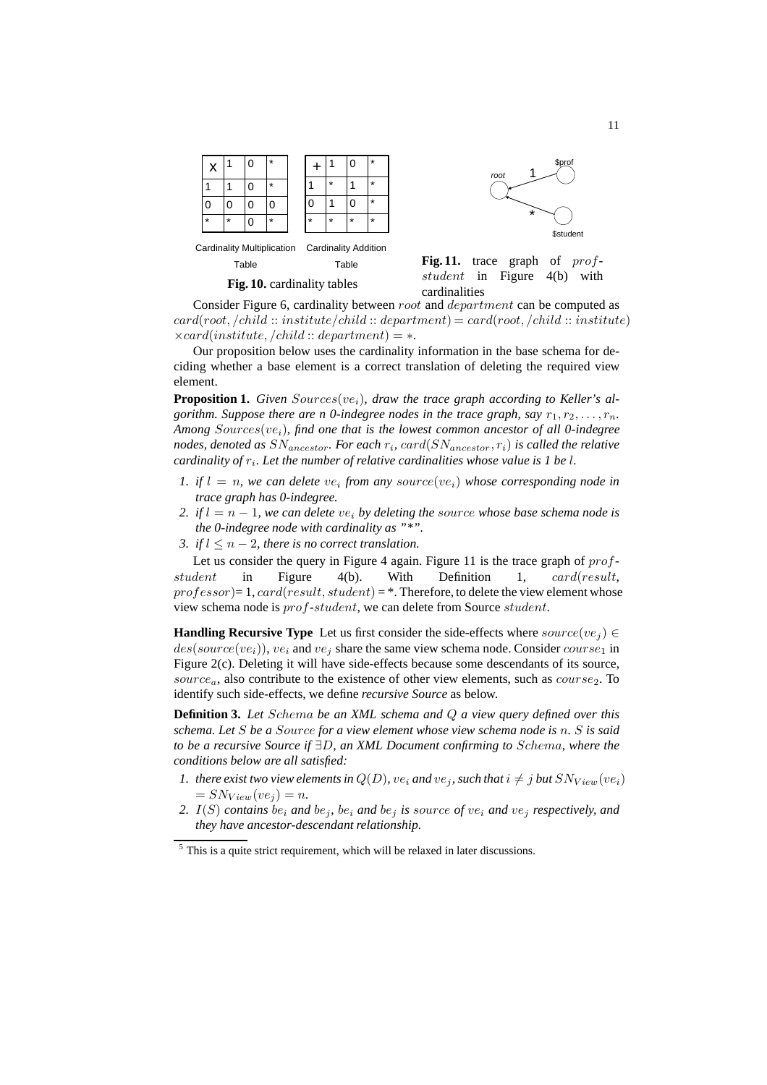

**Fig. 10.** cardinality tables

Fig. 11. trace graph of profstudent in Figure 4(b) with cardinalities

\*

1

root

Consider Figure 6, cardinality between root and department can be computed as  $card(root, /child::institute /child::department) = card(root, /child::institute)$  $\times card(institute, /child::department) = *$ .

Our proposition below uses the cardinality information in the base schema for deciding whether a base element is a correct translation of deleting the required view element.

**Proposition 1.** Given  $Sourceive_i$ , draw the trace graph according to Keller's al*gorithm. Suppose there are n 0-indegree nodes in the trace graph, say*  $r_1, r_2, \ldots, r_n$ . *Among* Sources(vei)*, find one that is the lowest common ancestor of all 0-indegree nodes, denoted as* SNancestor*. For each* r<sup>i</sup> *,* card(SNancestor, ri) *is called the relative* cardinality of  $r_i$ . Let the number of relative cardinalities whose value is 1 be l.

- *1. if*  $l = n$ , we can delete  $ve_i$  from any source( $ve_i$ ) whose corresponding node in *trace graph has 0-indegree.*
- *2. if*  $l = n 1$ *, we can delete*  $ve_i$  *by deleting the source whose base schema node is the 0-indegree node with cardinality as "\*".*
- *3. if*  $l \leq n-2$ *, there is no correct translation.*

Let us consider the query in Figure 4 again. Figure 11 is the trace graph of  $prof$ student in Figure 4(b). With Definition 1, card(result,  $professor)=1, card(result, student) = *$ . Therefore, to delete the view element whose view schema node is prof-student, we can delete from Source student.

**Handling Recursive Type** Let us first consider the side-effects where  $source(ve_i) \in$  $des(source(ve_i)), we_i$  and  $ve_i$  share the same view schema node. Consider  $course_1$  in Figure 2(c). Deleting it will have side-effects because some descendants of its source, source<sub>a</sub>, also contribute to the existence of other view elements, such as *course*<sub>2</sub>. To identify such side-effects, we define *recursive Source* as below.

**Definition 3.** *Let* Schema *be an XML schema and* Q *a view query defined over this schema. Let* S *be a* Source *for a view element whose view schema node is* n*.* S *is said to be a recursive Source if* ∃D*, an XML Document confirming to* Schema*, where the conditions below are all satisfied:*

- *1. there exist two view elements in*  $Q(D)$ *, ve<sub>i</sub> and*  $ve_j$ *, such that*  $i \neq j$  *but*  $SN_{View}(ve_i)$  $= SN_{View}(ve_i) = n.$
- *2.*  $I(S)$  *contains* be<sub>i</sub> *and* be<sub>i</sub>, be<sub>i</sub> *and* be<sub>j</sub> *is source of ve<sub>i</sub> and ve<sub>j</sub> respectively, and they have ancestor-descendant relationship.*

\$prof

**\$student** 

 $<sup>5</sup>$  This is a quite strict requirement, which will be relaxed in later discussions.</sup>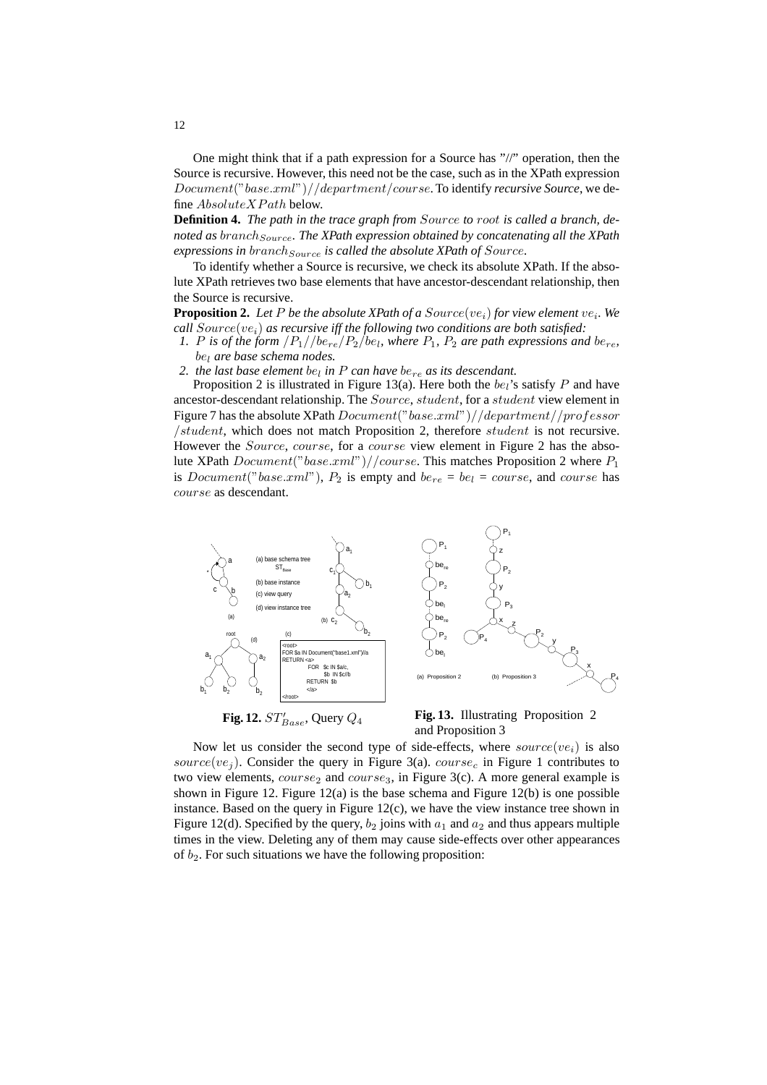One might think that if a path expression for a Source has "//" operation, then the Source is recursive. However, this need not be the case, such as in the XPath expression Document("base.xml")//department/course. To identify *recursive Source*, we define  $Absolute XPath$  below.

**Definition 4.** *The path in the trace graph from* Source *to* root *is called a branch, de*noted as branch<sub>Source</sub>. The XPath expression obtained by concatenating all the XPath *expressions in branch*<sub>Source</sub> *is called the absolute XPath of Source*.

To identify whether a Source is recursive, we check its absolute XPath. If the absolute XPath retrieves two base elements that have ancestor-descendant relationship, then the Source is recursive.

**Proposition 2.** Let P be the absolute XPath of a  $Source(ve_i)$  for view element  $ve_i$ . We  $call Source(ve<sub>i</sub>)$  *as recursive iff the following two conditions are both satisfied:* 

1. P is of the form  $\frac{|P_1|}{be_{re}/P_2}/be_l$ , where  $P_1$ ,  $P_2$  are path expressions and  $be_{re}$ , be<sup>l</sup> *are base schema nodes.*

2. the last base element  $be_l$  in  $P$  can have  $be_{re}$  as its descendant.

Proposition 2 is illustrated in Figure 13(a). Here both the  $be_i$ 's satisfy P and have ancestor-descendant relationship. The Source, student, for a student view element in Figure 7 has the absolute XPath  $Document("base.xml") // department//professor$ /student, which does not match Proposition 2, therefore student is not recursive. However the *Source*, course, for a course view element in Figure 2 has the absolute XPath  $Document("base.xml") // course. This matches Proposition 2 where  $P_1$$ is *Document*("base.xml"),  $P_2$  is empty and  $be_{re} = be_l = course$ , and course has course as descendant.



Fig. 12.  $ST'_{Base}$ , Query  $Q_4$ 

**Fig. 13.** Illustrating Proposition 2 and Proposition 3

Now let us consider the second type of side-effects, where  $source(ve_i)$  is also source(ve<sub>j</sub>). Consider the query in Figure 3(a). course<sub>c</sub> in Figure 1 contributes to two view elements,  $course_2$  and  $course_3$ , in Figure 3(c). A more general example is shown in Figure 12. Figure 12(a) is the base schema and Figure 12(b) is one possible instance. Based on the query in Figure 12(c), we have the view instance tree shown in Figure 12(d). Specified by the query,  $b_2$  joins with  $a_1$  and  $a_2$  and thus appears multiple times in the view. Deleting any of them may cause side-effects over other appearances of  $b_2$ . For such situations we have the following proposition: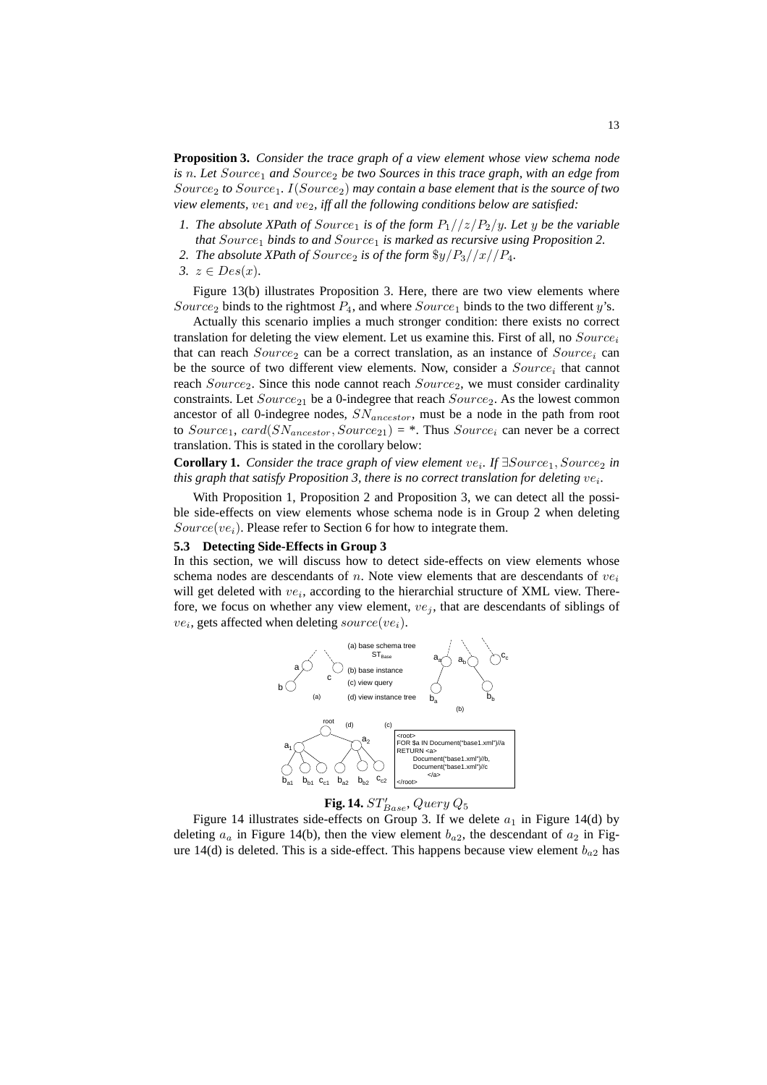**Proposition 3.** *Consider the trace graph of a view element whose view schema node is* n. Let Source<sub>1</sub> and Source<sub>2</sub> be two Sources in this trace graph, with an edge from Source<sup>2</sup> *to* Source1*.* I(Source2) *may contain a base element that is the source of two view elements, ve<sub>1</sub> and ve<sub>2</sub>, iff all the following conditions below are satisfied:* 

- *1. The absolute XPath of Source<sub>1</sub> is of the form*  $P_1//z/P_2/y$ *. Let y be the variable that* Source<sub>1</sub> *binds to and* Source<sub>1</sub> *is marked as recursive using Proposition 2.*
- 2. The absolute XPath of  $Source_2$  is of the form  $\frac{q}{q}$  / $\frac{p_3}{x}$ / $\frac{p_4}{x}$ .
- *3.*  $z ∈ Des(x)$ *.*

Figure 13(b) illustrates Proposition 3. Here, there are two view elements where Source<sub>2</sub> binds to the rightmost  $P_4$ , and where Source<sub>1</sub> binds to the two different y's.

Actually this scenario implies a much stronger condition: there exists no correct translation for deleting the view element. Let us examine this. First of all, no  $Source_i$ that can reach  $Source_2$  can be a correct translation, as an instance of  $Source_i$  can be the source of two different view elements. Now, consider a  $Source<sub>i</sub>$  that cannot reach  $Source_2$ . Since this node cannot reach  $Source_2$ , we must consider cardinality constraints. Let  $Source_{21}$  be a 0-indegree that reach  $Source_2$ . As the lowest common ancestor of all 0-indegree nodes,  $SN_{ancestor}$ , must be a node in the path from root to  $Source_1$ ,  $card(SN_{ancestor}, Source_{21}) =$ . Thus  $Source_i$  can never be a correct translation. This is stated in the corollary below:

**Corollary 1.** *Consider the trace graph of view element ve<sub>i</sub>. If ∃Source<sub>1</sub>, Source<sub>2</sub> in* this graph that satisfy Proposition 3, there is no correct translation for deleting  $ve_i$ .

With Proposition 1, Proposition 2 and Proposition 3, we can detect all the possible side-effects on view elements whose schema node is in Group 2 when deleting  $Source(ve_i)$ . Please refer to Section 6 for how to integrate them.

#### **5.3 Detecting Side-Effects in Group 3**

In this section, we will discuss how to detect side-effects on view elements whose schema nodes are descendants of n. Note view elements that are descendants of  $ve_i$ will get deleted with  $ve_i$ , according to the hierarchial structure of XML view. Therefore, we focus on whether any view element,  $ve_i$ , that are descendants of siblings of  $ve_i$ , gets affected when deleting  $source(ve_i)$ .





Figure 14 illustrates side-effects on Group 3. If we delete  $a_1$  in Figure 14(d) by deleting  $a_a$  in Figure 14(b), then the view element  $b_{a2}$ , the descendant of  $a_2$  in Figure 14(d) is deleted. This is a side-effect. This happens because view element  $b_{a2}$  has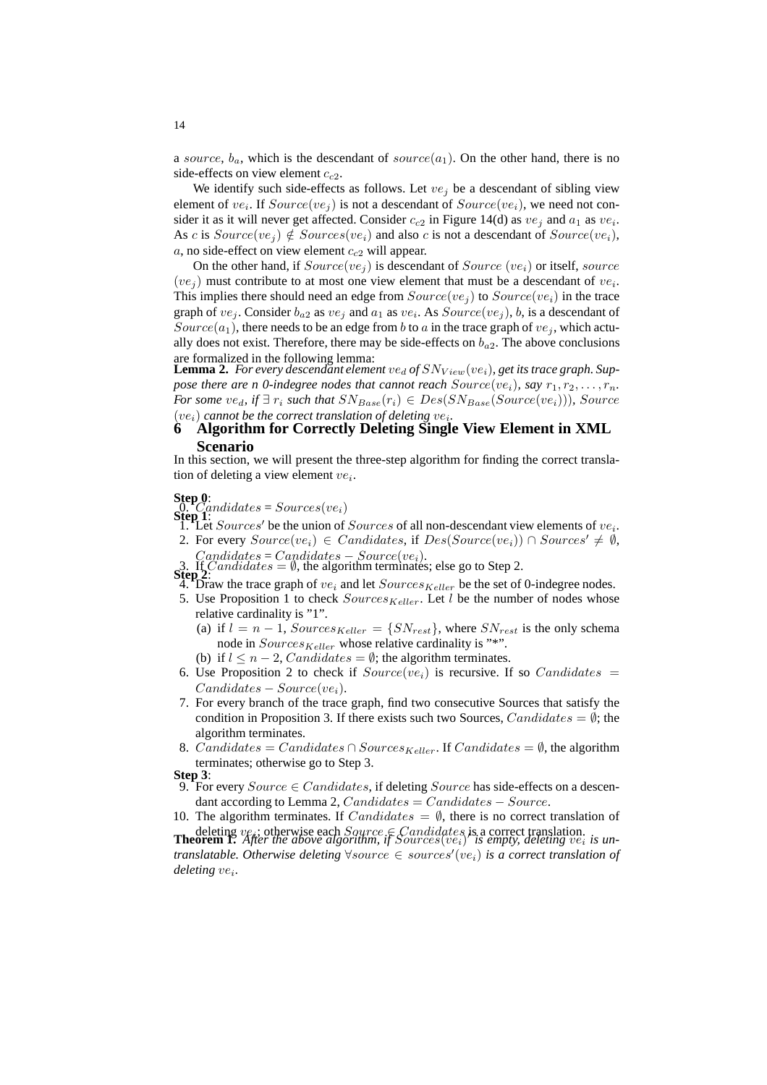a source,  $b_a$ , which is the descendant of source( $a_1$ ). On the other hand, there is no side-effects on view element  $c_{c2}$ .

We identify such side-effects as follows. Let  $ve_i$  be a descendant of sibling view element of  $ve_i$ . If  $Source(ve_j)$  is not a descendant of  $Source(ve_i)$ , we need not consider it as it will never get affected. Consider  $c_{c2}$  in Figure 14(d) as  $ve_j$  and  $a_1$  as  $ve_i$ . As c is  $Source(ve_i) \notin Sources(ve_i)$  and also c is not a descendant of  $Source(ve_i)$ ,  $a$ , no side-effect on view element  $c_{c2}$  will appear.

On the other hand, if  $Source(ve_i)$  is descendant of  $Source(ve_i)$  or itself, source  $(ve_j)$  must contribute to at most one view element that must be a descendant of  $ve_i$ . This implies there should need an edge from  $Source(ve_i)$  to  $Source(ve_i)$  in the trace graph of  $ve_j$ . Consider  $b_{a2}$  as  $ve_j$  and  $a_1$  as  $ve_i$ . As  $Source(ve_j)$ , b, is a descendant of Source(a<sub>1</sub>), there needs to be an edge from b to a in the trace graph of  $ve_i$ , which actually does not exist. Therefore, there may be side-effects on  $b_{a2}$ . The above conclusions are formalized in the following lemma:

 ${\bf Lemma~2.}$  *For every descendant element*  $ve_d$  *of*  $SN_{View}(ve_i)$ *, get its trace graph. Suppose there are n 0-indegree nodes that cannot reach*  $Source(ve_i)$ *, say*  $r_1, r_2, \ldots, r_n$ . *For some*  $ve_d$ , if  $\exists$   $r_i$  *such that*  $SN_{Base}(r_i) \in Des(SN_{Base}(Source(v_{\ell_i}))),$  *Source*  $(ve_i)$  cannot be the correct translation of deleting  $ve_i$ .

# **6 Algorithm for Correctly Deleting Single View Element in XML Scenario**

In this section, we will present the three-step algorithm for finding the correct translation of deleting a view element  $ve_i$ .

# **Step 0:**<br>  $\begin{array}{c} Q. \quad C \quad \text{and} \quad \text{states} = \text{S} \quad \text{values} \end{array}$

**Step 1:**  $S$  is the union of  $Sources$  of all non-descendant view elements of  $ve_i$ .

2. For every  $Source(ve_i) \in Candidates$ , if  $Des(Source(ve_i)) \cap Sources' \neq \emptyset$ ,  $C and *idades = Candidates - Source(ve<sub>i</sub>)*$ .

- 3. If *Candidates* =  $\emptyset$ , the algorithm terminates; else go to Step 2.
- $4.$  Draw the trace graph of  $ve_i$  and let  $Source_{Keller}$  be the set of 0-indegree nodes.
- 5. Use Proposition 1 to check  $SourceS_{Keller}$ . Let l be the number of nodes whose relative cardinality is "1".
	- (a) if  $l = n 1$ ,  $Sources_{Keller} = \{SN_{rest}\}\$ , where  $SN_{rest}$  is the only schema node in  $Sources_{Keller}$  whose relative cardinality is "\*".
	- (b) if  $l \leq n-2$ , Candidates =  $\emptyset$ ; the algorithm terminates.
- 6. Use Proposition 2 to check if  $Source(ve_i)$  is recursive. If so  $Candidates =$  $Candidates - Source(ve_i).$
- 7. For every branch of the trace graph, find two consecutive Sources that satisfy the condition in Proposition 3. If there exists such two Sources,  $Candidates = \emptyset$ ; the algorithm terminates.
- 8. Candidates = Candidates ∩ Sources<sub>Keller</sub>. If Candidates =  $\emptyset$ , the algorithm terminates; otherwise go to Step 3.
- **Step 3**:
- 9. For every  $Source \in Candidates$ , if deleting  $Source$  has side-effects on a descendant according to Lemma 2,  $Candidates = Candidates - Source$ .
- 10. The algorithm terminates. If  $Candidates = \emptyset$ , there is no correct translation of deleting *ve<sub>i</sub>*; otherwise each *Source* ∈ *Candidates* is a correct translation.<br>**Theorem 1.** *After the above algorithm, if Sources*(*ve<sub>i</sub>*)' *is empty, deleting ve<sub>i</sub> is un*-

*translatable. Otherwise deleting*  $\forall source \in sources'(ve_i)$  *is a correct translation of deleting* ve<sup>i</sup> *.*